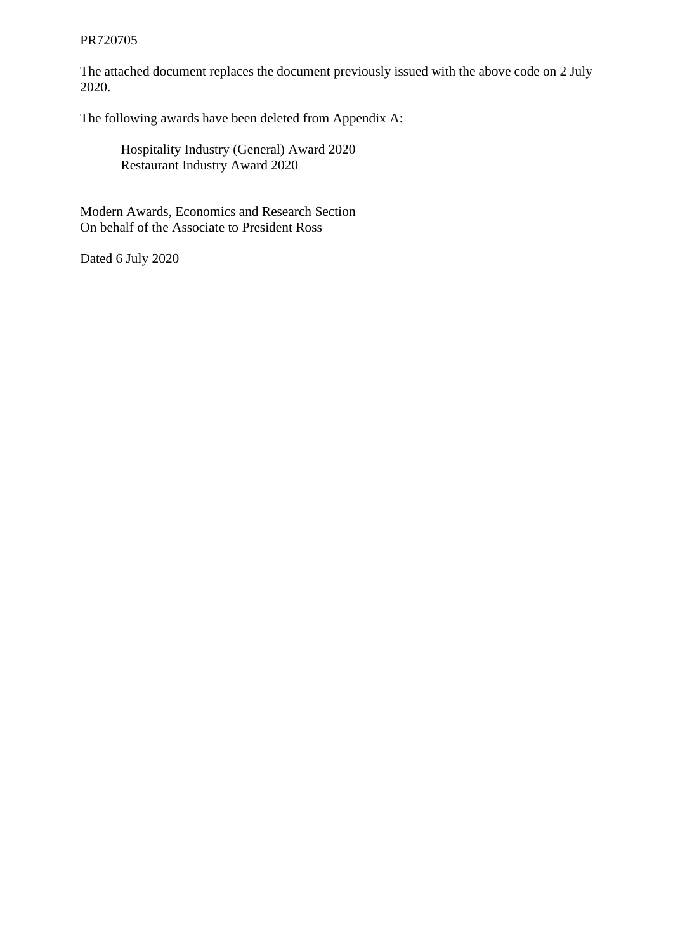#### PR720705

The attached document replaces the document previously issued with the above code on 2 July 2020.

The following awards have been deleted from Appendix A:

Hospitality Industry (General) Award 2020 Restaurant Industry Award 2020

Modern Awards, Economics and Research Section On behalf of the Associate to President Ross

Dated 6 July 2020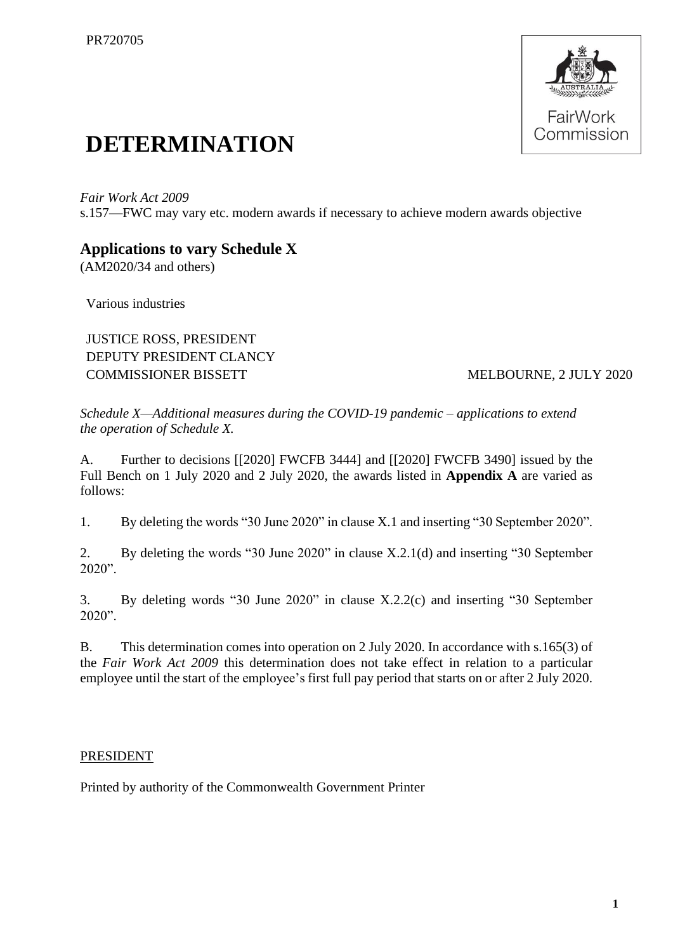

# **DETERMINATION**

*Fair Work Act 2009*  s.157—FWC may vary etc. modern awards if necessary to achieve modern awards objective

## **Applications to vary Schedule X**

(AM2020/34 and others)

Various industries

JUSTICE ROSS, PRESIDENT DEPUTY PRESIDENT CLANCY COMMISSIONER BISSETT MELBOURNE, 2 JULY 2020

*Schedule X—Additional measures during the COVID-19 pandemic – applications to extend the operation of Schedule X.*

A. Further to decisions [[2020] FWCFB 3444] and [[2020] FWCFB 3490] issued by the Full Bench on 1 July 2020 and 2 July 2020, the awards listed in **Appendix A** are varied as follows:

1. By deleting the words "30 June 2020" in clause X.1 and inserting "30 September 2020".

2. By deleting the words "30 June 2020" in clause X.2.1(d) and inserting "30 September 2020".

3. By deleting words "30 June 2020" in clause X.2.2(c) and inserting "30 September 2020".

B. This determination comes into operation on 2 July 2020. In accordance with s.165(3) of the *Fair Work Act 2009* this determination does not take effect in relation to a particular employee until the start of the employee's first full pay period that starts on or after 2 July 2020.

### PRESIDENT

Printed by authority of the Commonwealth Government Printer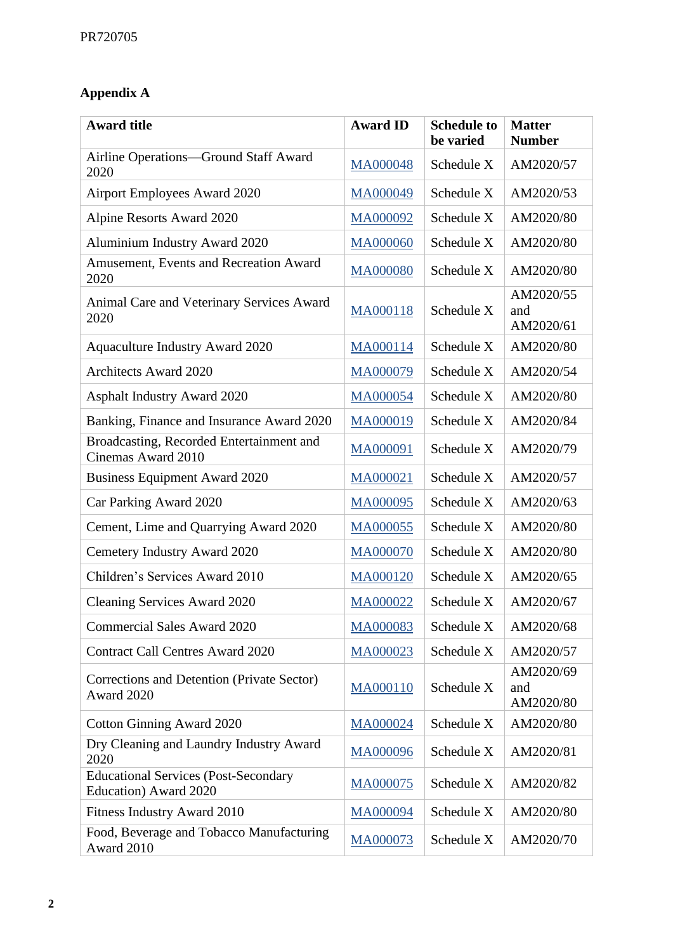## **Appendix A**

| <b>Award title</b>                                                   | <b>Award ID</b> | <b>Schedule to</b><br>be varied | <b>Matter</b><br><b>Number</b> |
|----------------------------------------------------------------------|-----------------|---------------------------------|--------------------------------|
| Airline Operations-Ground Staff Award<br>2020                        | MA000048        | Schedule X                      | AM2020/57                      |
| <b>Airport Employees Award 2020</b>                                  | MA000049        | Schedule X                      | AM2020/53                      |
| Alpine Resorts Award 2020                                            | MA000092        | Schedule X                      | AM2020/80                      |
| Aluminium Industry Award 2020                                        | MA000060        | Schedule X                      | AM2020/80                      |
| Amusement, Events and Recreation Award<br>2020                       | MA000080        | Schedule X                      | AM2020/80                      |
| Animal Care and Veterinary Services Award<br>2020                    | MA000118        | Schedule X                      | AM2020/55<br>and<br>AM2020/61  |
| <b>Aquaculture Industry Award 2020</b>                               | MA000114        | Schedule X                      | AM2020/80                      |
| <b>Architects Award 2020</b>                                         | MA000079        | Schedule X                      | AM2020/54                      |
| <b>Asphalt Industry Award 2020</b>                                   | MA000054        | Schedule X                      | AM2020/80                      |
| Banking, Finance and Insurance Award 2020                            | MA000019        | Schedule X                      | AM2020/84                      |
| Broadcasting, Recorded Entertainment and<br>Cinemas Award 2010       | MA000091        | Schedule X                      | AM2020/79                      |
| <b>Business Equipment Award 2020</b>                                 | MA000021        | Schedule X                      | AM2020/57                      |
| Car Parking Award 2020                                               | MA000095        | Schedule X                      | AM2020/63                      |
| Cement, Lime and Quarrying Award 2020                                | MA000055        | Schedule X                      | AM2020/80                      |
| Cemetery Industry Award 2020                                         | MA000070        | Schedule X                      | AM2020/80                      |
| Children's Services Award 2010                                       | MA000120        | Schedule X                      | AM2020/65                      |
| Cleaning Services Award 2020                                         | MA000022        | Schedule X                      | AM2020/67                      |
| <b>Commercial Sales Award 2020</b>                                   | MA000083        | Schedule X                      | AM2020/68                      |
| <b>Contract Call Centres Award 2020</b>                              | MA000023        | Schedule X                      | AM2020/57                      |
| Corrections and Detention (Private Sector)<br>Award 2020             | MA000110        | Schedule X                      | AM2020/69<br>and<br>AM2020/80  |
| <b>Cotton Ginning Award 2020</b>                                     | MA000024        | Schedule X                      | AM2020/80                      |
| Dry Cleaning and Laundry Industry Award<br>2020                      | MA000096        | Schedule X                      | AM2020/81                      |
| <b>Educational Services (Post-Secondary</b><br>Education) Award 2020 | MA000075        | Schedule X                      | AM2020/82                      |
| Fitness Industry Award 2010                                          | MA000094        | Schedule X                      | AM2020/80                      |
| Food, Beverage and Tobacco Manufacturing<br>Award 2010               | MA000073        | Schedule X                      | AM2020/70                      |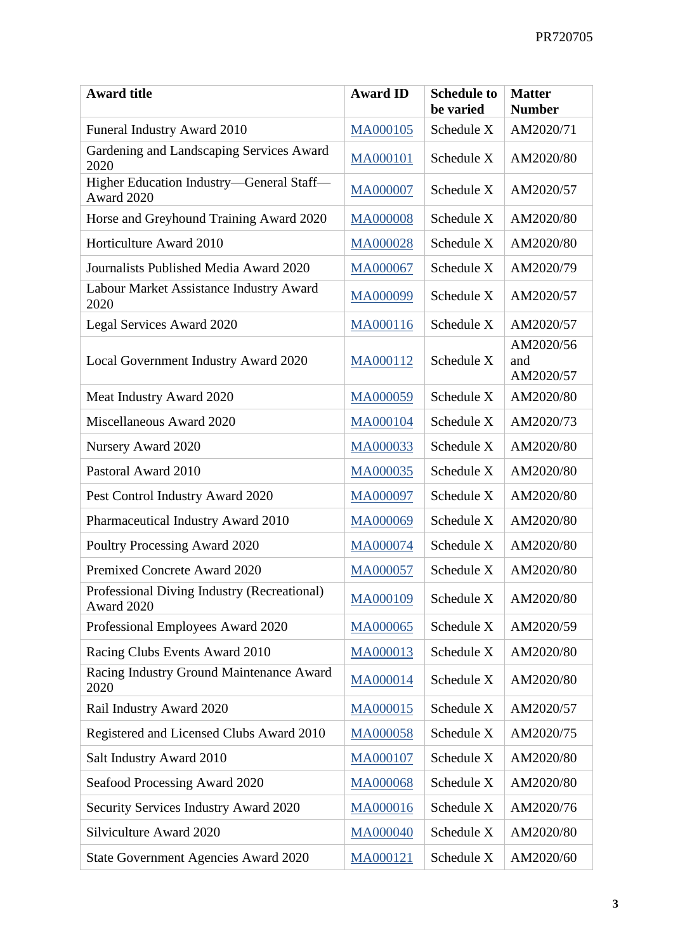| <b>Award title</b>                                        | <b>Award ID</b> | <b>Schedule to</b><br>be varied | <b>Matter</b><br><b>Number</b> |
|-----------------------------------------------------------|-----------------|---------------------------------|--------------------------------|
| Funeral Industry Award 2010                               | MA000105        | Schedule X                      | AM2020/71                      |
| Gardening and Landscaping Services Award<br>2020          | MA000101        | Schedule X                      | AM2020/80                      |
| Higher Education Industry-General Staff-<br>Award 2020    | MA000007        | Schedule X                      | AM2020/57                      |
| Horse and Greyhound Training Award 2020                   | MA000008        | Schedule X                      | AM2020/80                      |
| Horticulture Award 2010                                   | MA000028        | Schedule X                      | AM2020/80                      |
| Journalists Published Media Award 2020                    | MA000067        | Schedule X                      | AM2020/79                      |
| Labour Market Assistance Industry Award<br>2020           | MA000099        | Schedule X                      | AM2020/57                      |
| Legal Services Award 2020                                 | MA000116        | Schedule X                      | AM2020/57                      |
| Local Government Industry Award 2020                      | MA000112        | Schedule X                      | AM2020/56<br>and<br>AM2020/57  |
| Meat Industry Award 2020                                  | MA000059        | Schedule X                      | AM2020/80                      |
| Miscellaneous Award 2020                                  | MA000104        | Schedule X                      | AM2020/73                      |
| Nursery Award 2020                                        | MA000033        | Schedule X                      | AM2020/80                      |
| Pastoral Award 2010                                       | MA000035        | Schedule X                      | AM2020/80                      |
| Pest Control Industry Award 2020                          | MA000097        | Schedule X                      | AM2020/80                      |
| Pharmaceutical Industry Award 2010                        | MA000069        | Schedule X                      | AM2020/80                      |
| Poultry Processing Award 2020                             | MA000074        | Schedule X                      | AM2020/80                      |
| Premixed Concrete Award 2020                              | MA000057        | Schedule X                      | AM2020/80                      |
| Professional Diving Industry (Recreational)<br>Award 2020 | MA000109        | Schedule X                      | AM2020/80                      |
| Professional Employees Award 2020                         | MA000065        | Schedule X                      | AM2020/59                      |
| Racing Clubs Events Award 2010                            | MA000013        | Schedule X                      | AM2020/80                      |
| Racing Industry Ground Maintenance Award<br>2020          | MA000014        | Schedule X                      | AM2020/80                      |
| Rail Industry Award 2020                                  | MA000015        | Schedule X                      | AM2020/57                      |
| Registered and Licensed Clubs Award 2010                  | MA000058        | Schedule X                      | AM2020/75                      |
| Salt Industry Award 2010                                  | MA000107        | Schedule X                      | AM2020/80                      |
| Seafood Processing Award 2020                             | MA000068        | Schedule X                      | AM2020/80                      |
| Security Services Industry Award 2020                     | MA000016        | Schedule X                      | AM2020/76                      |
| Silviculture Award 2020                                   | MA000040        | Schedule X                      | AM2020/80                      |
| State Government Agencies Award 2020                      | MA000121        | Schedule X                      | AM2020/60                      |